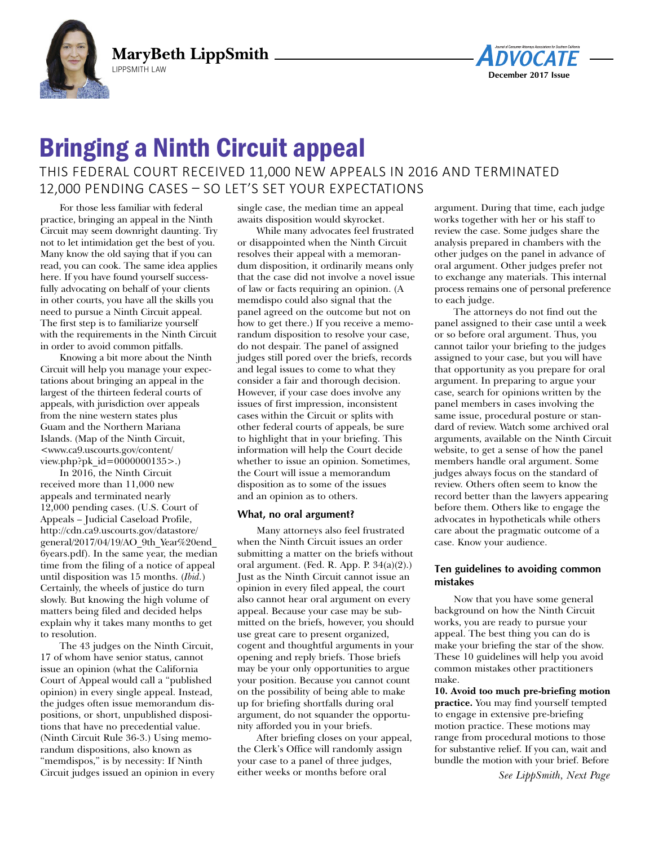



## Bringing a Ninth Circuit appeal

## This federal courT received 11,000 new appeals in 2016 and TerminaTed 12,000 pending cases – so leT's seT your expecTaTions

For those less familiar with federal practice, bringing an appeal in the Ninth Circuit may seem downright daunting. Try not to let intimidation get the best of you. Many know the old saying that if you can read, you can cook. The same idea applies here. If you have found yourself successfully advocating on behalf of your clients in other courts, you have all the skills you need to pursue a Ninth Circuit appeal. The first step is to familiarize yourself with the requirements in the Ninth Circuit in order to avoid common pitfalls.

Knowing a bit more about the Ninth Circuit will help you manage your expectations about bringing an appeal in the largest of the thirteen federal courts of appeals, with jurisdiction over appeals from the nine western states plus Guam and the Northern Mariana Islands. (Map of the Ninth Circuit, <www.ca9.uscourts.gov/content/ view.php?pk\_id=0000000135>.)

In 2016, the Ninth Circuit received more than 11,000 new appeals and terminated nearly 12,000 pending cases. (U.S. Court of Appeals – Judicial Caseload Profile, http://cdn.ca9.uscourts.gov/datastore/ general/2017/04/19/AO\_9th\_Year%20end\_ 6years.pdf). In the same year, the median time from the filing of a notice of appeal until disposition was 15 months. (*Ibid.*) Certainly, the wheels of justice do turn slowly. But knowing the high volume of matters being filed and decided helps explain why it takes many months to get to resolution.

The 43 judges on the Ninth Circuit, 17 of whom have senior status, cannot issue an opinion (what the California Court of Appeal would call a "published opinion) in every single appeal. Instead, the judges often issue memorandum dispositions, or short, unpublished dispositions that have no precedential value. (Ninth Circuit Rule 36-3.) Using memorandum dispositions, also known as "memdispos," is by necessity: If Ninth Circuit judges issued an opinion in every single case, the median time an appeal awaits disposition would skyrocket.

While many advocates feel frustrated or disappointed when the Ninth Circuit resolves their appeal with a memorandum disposition, it ordinarily means only that the case did not involve a novel issue of law or facts requiring an opinion. (A memdispo could also signal that the panel agreed on the outcome but not on how to get there.) If you receive a memorandum disposition to resolve your case, do not despair. The panel of assigned judges still pored over the briefs, records and legal issues to come to what they consider a fair and thorough decision. However, if your case does involve any issues of first impression, inconsistent cases within the Circuit or splits with other federal courts of appeals, be sure to highlight that in your briefing. This information will help the Court decide whether to issue an opinion. Sometimes, the Court will issue a memorandum disposition as to some of the issues and an opinion as to others.

## **What, no oral argument?**

Many attorneys also feel frustrated when the Ninth Circuit issues an order submitting a matter on the briefs without oral argument. (Fed. R. App. P.  $34(a)(2)$ .) Just as the Ninth Circuit cannot issue an opinion in every filed appeal, the court also cannot hear oral argument on every appeal. Because your case may be submitted on the briefs, however, you should use great care to present organized, cogent and thoughtful arguments in your opening and reply briefs. Those briefs may be your only opportunities to argue your position. Because you cannot count on the possibility of being able to make up for briefing shortfalls during oral argument, do not squander the opportunity afforded you in your briefs.

After briefing closes on your appeal, the Clerk's Office will randomly assign your case to a panel of three judges, either weeks or months before oral

argument. During that time, each judge works together with her or his staff to review the case. Some judges share the analysis prepared in chambers with the other judges on the panel in advance of oral argument. Other judges prefer not to exchange any materials. This internal process remains one of personal preference to each judge.

The attorneys do not find out the panel assigned to their case until a week or so before oral argument. Thus, you cannot tailor your briefing to the judges assigned to your case, but you will have that opportunity as you prepare for oral argument. In preparing to argue your case, search for opinions written by the panel members in cases involving the same issue, procedural posture or standard of review. Watch some archived oral arguments, available on the Ninth Circuit website, to get a sense of how the panel members handle oral argument. Some judges always focus on the standard of review. Others often seem to know the record better than the lawyers appearing before them. Others like to engage the advocates in hypotheticals while others care about the pragmatic outcome of a case. Know your audience.

## **Ten guidelines to avoiding common mistakes**

Now that you have some general background on how the Ninth Circuit works, you are ready to pursue your appeal. The best thing you can do is make your briefing the star of the show. These 10 guidelines will help you avoid common mistakes other practitioners make.

**10. Avoid too much pre-briefing motion practice.** You may find yourself tempted to engage in extensive pre-briefing motion practice. These motions may range from procedural motions to those for substantive relief. If you can, wait and bundle the motion with your brief. Before

*See LippSmith, Next Page*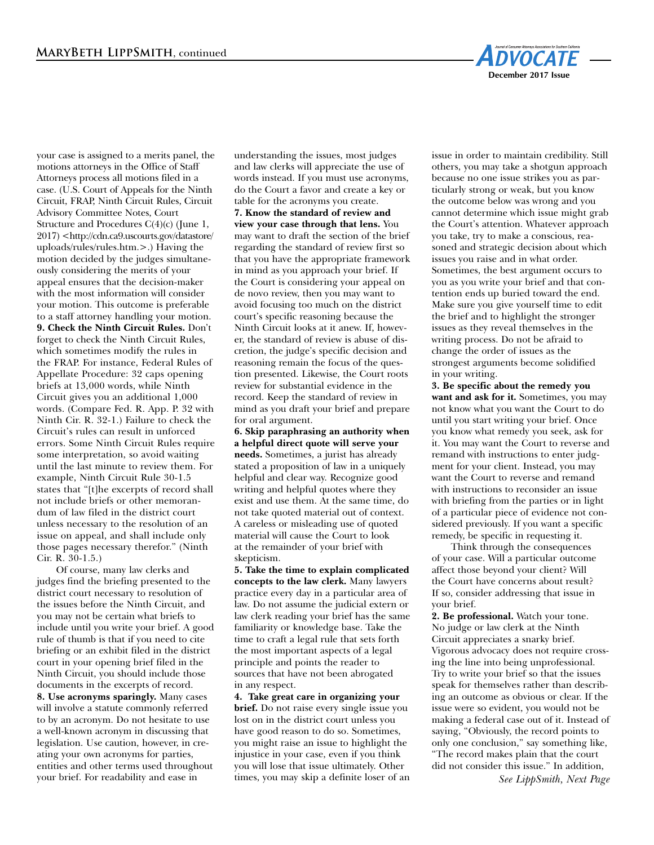

your case is assigned to a merits panel, the motions attorneys in the Office of Staff Attorneys process all motions filed in a case. (U.S. Court of Appeals for the Ninth Circuit, FRAP, Ninth Circuit Rules, Circuit Advisory Committee Notes, Court Structure and Procedures C(4)(c) (June 1, 2017) <http://cdn.ca9.uscourts.gov/datastore/ uploads/rules/rules.htm.>.) Having the motion decided by the judges simultaneously considering the merits of your appeal ensures that the decision-maker with the most information will consider your motion. This outcome is preferable to a staff attorney handling your motion. **9. Check the Ninth Circuit Rules.** Don't forget to check the Ninth Circuit Rules, which sometimes modify the rules in the FRAP. For instance, Federal Rules of Appellate Procedure: 32 caps opening briefs at 13,000 words, while Ninth Circuit gives you an additional 1,000 words. (Compare Fed. R. App. P. 32 with Ninth Cir. R. 32-1.) Failure to check the Circuit's rules can result in unforced errors. Some Ninth Circuit Rules require some interpretation, so avoid waiting until the last minute to review them. For example, Ninth Circuit Rule 30-1.5 states that "[t]he excerpts of record shall not include briefs or other memorandum of law filed in the district court unless necessary to the resolution of an issue on appeal, and shall include only those pages necessary therefor." (Ninth Cir. R. 30-1.5.)

Of course, many law clerks and judges find the briefing presented to the district court necessary to resolution of the issues before the Ninth Circuit, and you may not be certain what briefs to include until you write your brief. A good rule of thumb is that if you need to cite briefing or an exhibit filed in the district court in your opening brief filed in the Ninth Circuit, you should include those documents in the excerpts of record. **8. Use acronyms sparingly.** Many cases will involve a statute commonly referred to by an acronym. Do not hesitate to use a well-known acronym in discussing that legislation. Use caution, however, in creating your own acronyms for parties, entities and other terms used throughout your brief. For readability and ease in

understanding the issues, most judges and law clerks will appreciate the use of words instead. If you must use acronyms, do the Court a favor and create a key or table for the acronyms you create. **7. Know the standard of review and view your case through that lens.** You may want to draft the section of the brief regarding the standard of review first so that you have the appropriate framework in mind as you approach your brief. If the Court is considering your appeal on de novo review, then you may want to avoid focusing too much on the district court's specific reasoning because the Ninth Circuit looks at it anew. If, however, the standard of review is abuse of discretion, the judge's specific decision and reasoning remain the focus of the question presented. Likewise, the Court roots review for substantial evidence in the record. Keep the standard of review in mind as you draft your brief and prepare for oral argument.

**6. Skip paraphrasing an authority when a helpful direct quote will serve your needs.** Sometimes, a jurist has already stated a proposition of law in a uniquely helpful and clear way. Recognize good writing and helpful quotes where they exist and use them. At the same time, do not take quoted material out of context. A careless or misleading use of quoted material will cause the Court to look at the remainder of your brief with skepticism.

**5. Take the time to explain complicated concepts to the law clerk.** Many lawyers practice every day in a particular area of law. Do not assume the judicial extern or law clerk reading your brief has the same familiarity or knowledge base. Take the time to craft a legal rule that sets forth the most important aspects of a legal principle and points the reader to sources that have not been abrogated in any respect.

**4. Take great care in organizing your brief.** Do not raise every single issue you lost on in the district court unless you have good reason to do so. Sometimes, you might raise an issue to highlight the injustice in your case, even if you think you will lose that issue ultimately. Other times, you may skip a definite loser of an issue in order to maintain credibility. Still others, you may take a shotgun approach because no one issue strikes you as particularly strong or weak, but you know the outcome below was wrong and you cannot determine which issue might grab the Court's attention. Whatever approach you take, try to make a conscious, reasoned and strategic decision about which issues you raise and in what order. Sometimes, the best argument occurs to you as you write your brief and that contention ends up buried toward the end. Make sure you give yourself time to edit the brief and to highlight the stronger issues as they reveal themselves in the writing process. Do not be afraid to change the order of issues as the strongest arguments become solidified in your writing.

**3. Be specific about the remedy you want and ask for it.** Sometimes, you may not know what you want the Court to do until you start writing your brief. Once you know what remedy you seek, ask for it. You may want the Court to reverse and remand with instructions to enter judgment for your client. Instead, you may want the Court to reverse and remand with instructions to reconsider an issue with briefing from the parties or in light of a particular piece of evidence not considered previously. If you want a specific remedy, be specific in requesting it.

Think through the consequences of your case. Will a particular outcome affect those beyond your client? Will the Court have concerns about result? If so, consider addressing that issue in your brief.

**2. Be professional.** Watch your tone. No judge or law clerk at the Ninth Circuit appreciates a snarky brief. Vigorous advocacy does not require crossing the line into being unprofessional. Try to write your brief so that the issues speak for themselves rather than describing an outcome as obvious or clear. If the issue were so evident, you would not be making a federal case out of it. Instead of saying, "Obviously, the record points to only one conclusion," say something like, "The record makes plain that the court did not consider this issue." In addition,

*See LippSmith, Next Page*